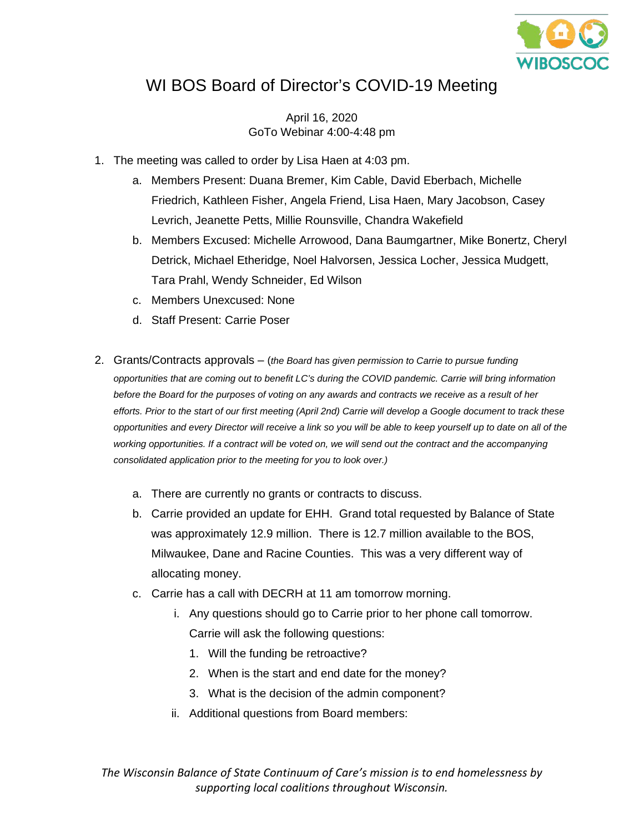

## WI BOS Board of Director's COVID-19 Meeting

April 16, 2020 GoTo Webinar 4:00-4:48 pm

- 1. The meeting was called to order by Lisa Haen at 4:03 pm.
	- a. Members Present: Duana Bremer, Kim Cable, David Eberbach, Michelle Friedrich, Kathleen Fisher, Angela Friend, Lisa Haen, Mary Jacobson, Casey Levrich, Jeanette Petts, Millie Rounsville, Chandra Wakefield
	- b. Members Excused: Michelle Arrowood, Dana Baumgartner, Mike Bonertz, Cheryl Detrick, Michael Etheridge, Noel Halvorsen, Jessica Locher, Jessica Mudgett, Tara Prahl, Wendy Schneider, Ed Wilson
	- c. Members Unexcused: None
	- d. Staff Present: Carrie Poser
- 2. Grants/Contracts approvals (*the Board has given permission to Carrie to pursue funding opportunities that are coming out to benefit LC's during the COVID pandemic. Carrie will bring information before the Board for the purposes of voting on any awards and contracts we receive as a result of her efforts. Prior to the start of our first meeting (April 2nd) Carrie will develop a Google document to track these opportunities and every Director will receive a link so you will be able to keep yourself up to date on all of the working opportunities. If a contract will be voted on, we will send out the contract and the accompanying consolidated application prior to the meeting for you to look over.)* 
	- a. There are currently no grants or contracts to discuss.
	- b. Carrie provided an update for EHH. Grand total requested by Balance of State was approximately 12.9 million. There is 12.7 million available to the BOS, Milwaukee, Dane and Racine Counties. This was a very different way of allocating money.
	- c. Carrie has a call with DECRH at 11 am tomorrow morning.
		- i. Any questions should go to Carrie prior to her phone call tomorrow. Carrie will ask the following questions:
			- 1. Will the funding be retroactive?
			- 2. When is the start and end date for the money?
			- 3. What is the decision of the admin component?
		- ii. Additional questions from Board members:

*The Wisconsin Balance of State Continuum of Care's mission is to end homelessness by supporting local coalitions throughout Wisconsin.*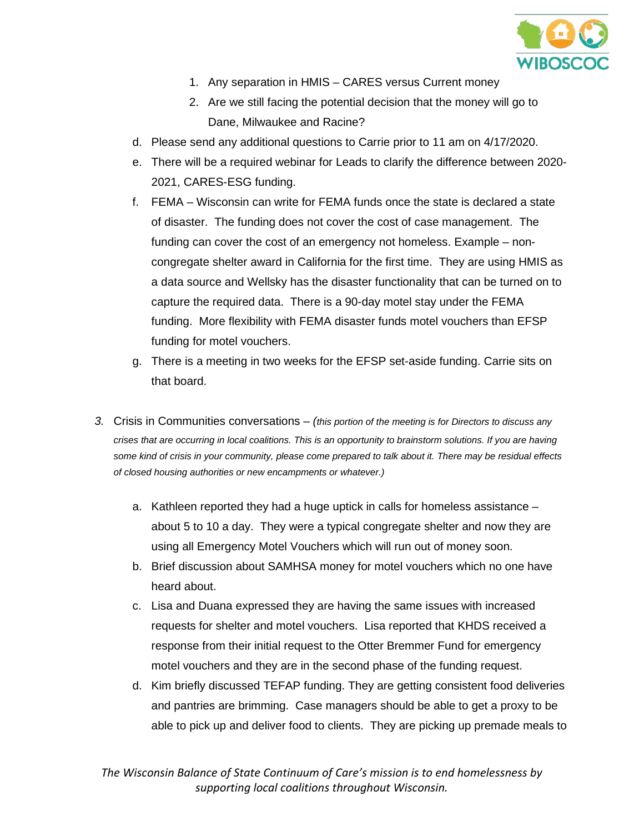

- 1. Any separation in HMIS CARES versus Current money
- 2. Are we still facing the potential decision that the money will go to Dane, Milwaukee and Racine?
- d. Please send any additional questions to Carrie prior to 11 am on 4/17/2020.
- e. There will be a required webinar for Leads to clarify the difference between 2020- 2021, CARES-ESG funding.
- f. FEMA Wisconsin can write for FEMA funds once the state is declared a state of disaster. The funding does not cover the cost of case management. The funding can cover the cost of an emergency not homeless. Example – noncongregate shelter award in California for the first time. They are using HMIS as a data source and Wellsky has the disaster functionality that can be turned on to capture the required data. There is a 90-day motel stay under the FEMA funding. More flexibility with FEMA disaster funds motel vouchers than EFSP funding for motel vouchers.
- g. There is a meeting in two weeks for the EFSP set-aside funding. Carrie sits on that board.
- *3.* Crisis in Communities conversations *(this portion of the meeting is for Directors to discuss any crises that are occurring in local coalitions. This is an opportunity to brainstorm solutions. If you are having some kind of crisis in your community, please come prepared to talk about it. There may be residual effects of closed housing authorities or new encampments or whatever.)*
	- a. Kathleen reported they had a huge uptick in calls for homeless assistance about 5 to 10 a day. They were a typical congregate shelter and now they are using all Emergency Motel Vouchers which will run out of money soon.
	- b. Brief discussion about SAMHSA money for motel vouchers which no one have heard about.
	- c. Lisa and Duana expressed they are having the same issues with increased requests for shelter and motel vouchers. Lisa reported that KHDS received a response from their initial request to the Otter Bremmer Fund for emergency motel vouchers and they are in the second phase of the funding request.
	- d. Kim briefly discussed TEFAP funding. They are getting consistent food deliveries and pantries are brimming. Case managers should be able to get a proxy to be able to pick up and deliver food to clients. They are picking up premade meals to

*The Wisconsin Balance of State Continuum of Care's mission is to end homelessness by supporting local coalitions throughout Wisconsin.*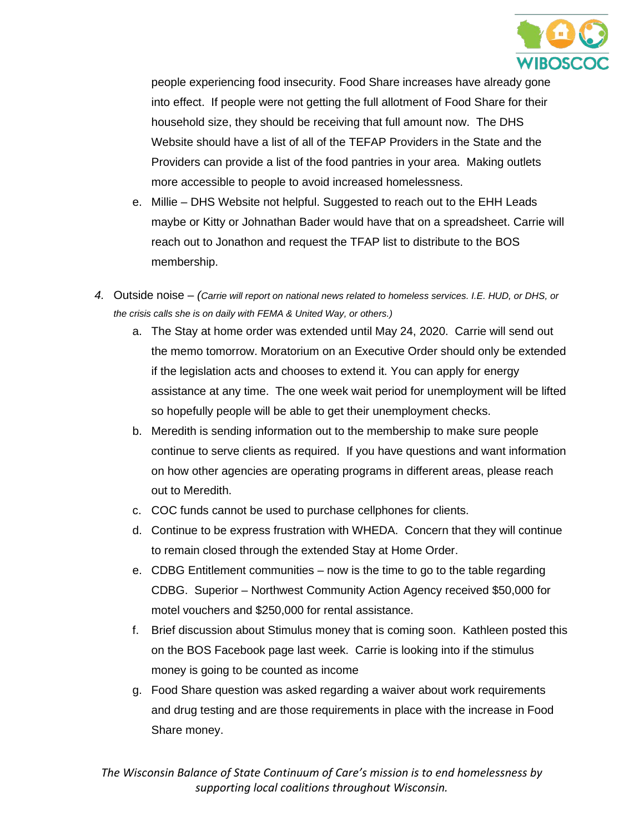

people experiencing food insecurity. Food Share increases have already gone into effect. If people were not getting the full allotment of Food Share for their household size, they should be receiving that full amount now. The DHS Website should have a list of all of the TEFAP Providers in the State and the Providers can provide a list of the food pantries in your area. Making outlets more accessible to people to avoid increased homelessness.

- e. Millie DHS Website not helpful. Suggested to reach out to the EHH Leads maybe or Kitty or Johnathan Bader would have that on a spreadsheet. Carrie will reach out to Jonathon and request the TFAP list to distribute to the BOS membership.
- *4.* Outside noise *(Carrie will report on national news related to homeless services. I.E. HUD, or DHS, or the crisis calls she is on daily with FEMA & United Way, or others.)*
	- a. The Stay at home order was extended until May 24, 2020. Carrie will send out the memo tomorrow. Moratorium on an Executive Order should only be extended if the legislation acts and chooses to extend it. You can apply for energy assistance at any time. The one week wait period for unemployment will be lifted so hopefully people will be able to get their unemployment checks.
	- b. Meredith is sending information out to the membership to make sure people continue to serve clients as required. If you have questions and want information on how other agencies are operating programs in different areas, please reach out to Meredith.
	- c. COC funds cannot be used to purchase cellphones for clients.
	- d. Continue to be express frustration with WHEDA. Concern that they will continue to remain closed through the extended Stay at Home Order.
	- e. CDBG Entitlement communities now is the time to go to the table regarding CDBG. Superior – Northwest Community Action Agency received \$50,000 for motel vouchers and \$250,000 for rental assistance.
	- f. Brief discussion about Stimulus money that is coming soon. Kathleen posted this on the BOS Facebook page last week. Carrie is looking into if the stimulus money is going to be counted as income
	- g. Food Share question was asked regarding a waiver about work requirements and drug testing and are those requirements in place with the increase in Food Share money.

*The Wisconsin Balance of State Continuum of Care's mission is to end homelessness by supporting local coalitions throughout Wisconsin.*